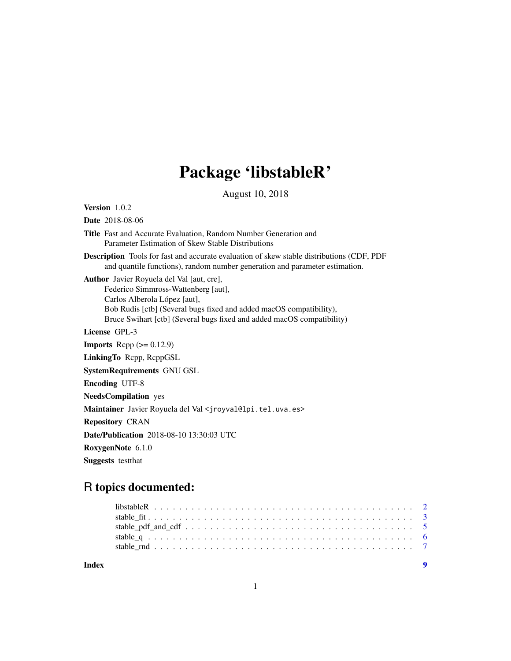## Package 'libstableR'

August 10, 2018

Version 1.0.2 Date 2018-08-06

Title Fast and Accurate Evaluation, Random Number Generation and Parameter Estimation of Skew Stable Distributions

Description Tools for fast and accurate evaluation of skew stable distributions (CDF, PDF and quantile functions), random number generation and parameter estimation.

Author Javier Royuela del Val [aut, cre], Federico Simmross-Wattenberg [aut], Carlos Alberola López [aut], Bob Rudis [ctb] (Several bugs fixed and added macOS compatibility), Bruce Swihart [ctb] (Several bugs fixed and added macOS compatibility)

License GPL-3

**Imports** Rcpp  $(>= 0.12.9)$ 

LinkingTo Rcpp, RcppGSL

SystemRequirements GNU GSL

Encoding UTF-8

NeedsCompilation yes

Maintainer Javier Royuela del Val <jroyval@lpi.tel.uva.es>

Repository CRAN

Date/Publication 2018-08-10 13:30:03 UTC

RoxygenNote 6.1.0

Suggests testthat

### R topics documented:

| Index |  |
|-------|--|
|       |  |
|       |  |
|       |  |
|       |  |
|       |  |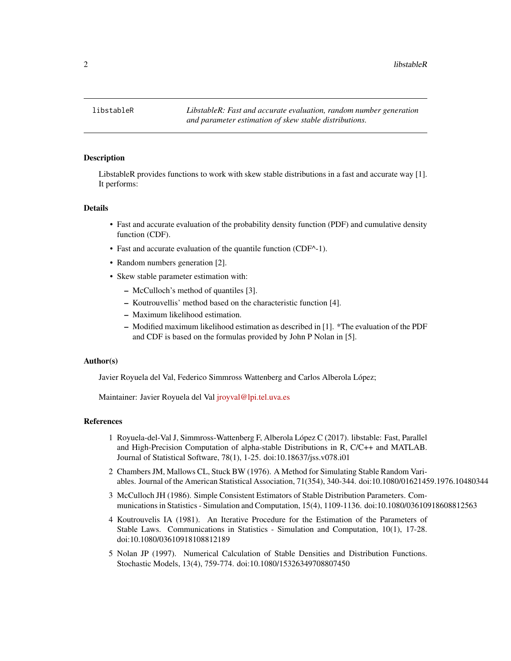<span id="page-1-0"></span>

#### **Description**

LibstableR provides functions to work with skew stable distributions in a fast and accurate way [1]. It performs:

#### Details

- Fast and accurate evaluation of the probability density function (PDF) and cumulative density function (CDF).
- Fast and accurate evaluation of the quantile function (CDF^-1).
- Random numbers generation [2].
- Skew stable parameter estimation with:
	- McCulloch's method of quantiles [3].
	- Koutrouvellis' method based on the characteristic function [4].
	- Maximum likelihood estimation.
	- Modified maximum likelihood estimation as described in [1]. \*The evaluation of the PDF and CDF is based on the formulas provided by John P Nolan in [5].

#### Author(s)

Javier Royuela del Val, Federico Simmross Wattenberg and Carlos Alberola López;

Maintainer: Javier Royuela del Val [jroyval@lpi.tel.uva.es](mailto:jroyval@lpi.tel.uva.es)

#### References

- 1 Royuela-del-Val J, Simmross-Wattenberg F, Alberola López C (2017). libstable: Fast, Parallel and High-Precision Computation of alpha-stable Distributions in R, C/C++ and MATLAB. Journal of Statistical Software, 78(1), 1-25. doi:10.18637/jss.v078.i01
- 2 Chambers JM, Mallows CL, Stuck BW (1976). A Method for Simulating Stable Random Variables. Journal of the American Statistical Association, 71(354), 340-344. doi:10.1080/01621459.1976.10480344
- 3 McCulloch JH (1986). Simple Consistent Estimators of Stable Distribution Parameters. Communications in Statistics - Simulation and Computation, 15(4), 1109-1136. doi:10.1080/03610918608812563
- 4 Koutrouvelis IA (1981). An Iterative Procedure for the Estimation of the Parameters of Stable Laws. Communications in Statistics - Simulation and Computation, 10(1), 17-28. doi:10.1080/03610918108812189
- 5 Nolan JP (1997). Numerical Calculation of Stable Densities and Distribution Functions. Stochastic Models, 13(4), 759-774. doi:10.1080/15326349708807450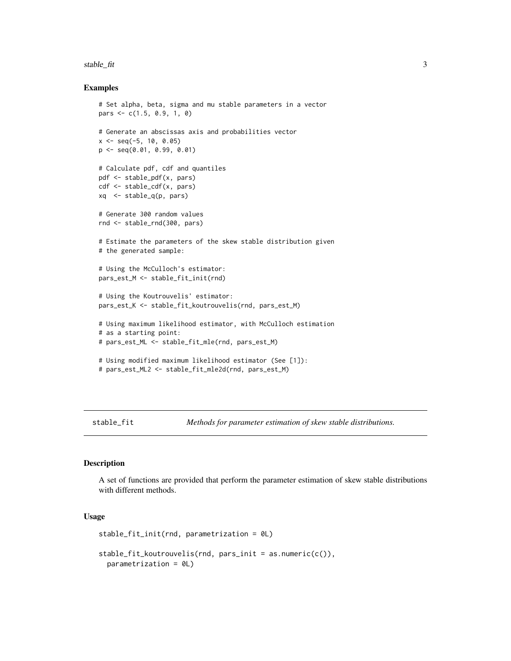#### <span id="page-2-0"></span>stable\_fit 3

#### Examples

```
# Set alpha, beta, sigma and mu stable parameters in a vector
pars <- c(1.5, 0.9, 1, 0)
# Generate an abscissas axis and probabilities vector
x \le - seq(-5, 10, 0.05)
p <- seq(0.01, 0.99, 0.01)
# Calculate pdf, cdf and quantiles
pdf <- stable_pdf(x, pars)
cdf <- stable_cdf(x, pars)
xq <- stable_q(p, pars)
# Generate 300 random values
rnd <- stable_rnd(300, pars)
# Estimate the parameters of the skew stable distribution given
# the generated sample:
# Using the McCulloch's estimator:
pars_est_M <- stable_fit_init(rnd)
# Using the Koutrouvelis' estimator:
pars_est_K <- stable_fit_koutrouvelis(rnd, pars_est_M)
# Using maximum likelihood estimator, with McCulloch estimation
# as a starting point:
# pars_est_ML <- stable_fit_mle(rnd, pars_est_M)
# Using modified maximum likelihood estimator (See [1]):
# pars_est_ML2 <- stable_fit_mle2d(rnd, pars_est_M)
```
stable\_fit *Methods for parameter estimation of skew stable distributions.*

#### Description

A set of functions are provided that perform the parameter estimation of skew stable distributions with different methods.

#### Usage

```
stable_fit_init(rnd, parametrization = 0L)
stable_fit_koutrouvelis(rnd, pars_init = as.numeric(c()),
 parametrization = 0L)
```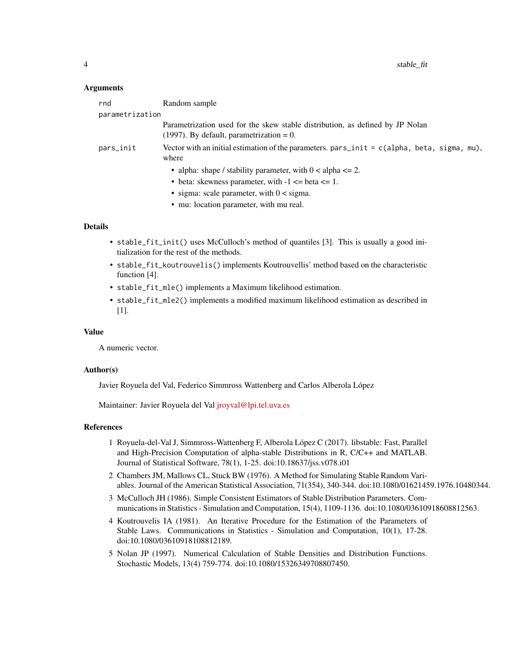#### Arguments

| rnd             | Random sample                                                                                                                |  |
|-----------------|------------------------------------------------------------------------------------------------------------------------------|--|
| parametrization |                                                                                                                              |  |
|                 | Parametrization used for the skew stable distribution, as defined by JP Nolan<br>$(1997)$ . By default, parametrization = 0. |  |
| pars_init       | Vector with an initial estimation of the parameters. $pars\_init = c(alpha, beta, sigma, mu)$ ,<br>where                     |  |
|                 | • alpha: shape / stability parameter, with $0 <$ alpha $\leq 2$ .                                                            |  |
|                 | • beta: skewness parameter, with $-1 \leq$ beta $\leq$ 1.                                                                    |  |
|                 | • sigma: scale parameter, with $0 <$ sigma.                                                                                  |  |
|                 | • mu: location parameter, with mu real.                                                                                      |  |
|                 |                                                                                                                              |  |

#### Details

- stable\_fit\_init() uses McCulloch's method of quantiles [3]. This is usually a good initialization for the rest of the methods.
- stable\_fit\_koutrouvelis() implements Koutrouvellis' method based on the characteristic function [4].
- stable\_fit\_mle() implements a Maximum likelihood estimation.
- stable\_fit\_mle2() implements a modified maximum likelihood estimation as described in [1].

#### Value

A numeric vector.

#### Author(s)

Javier Royuela del Val, Federico Simmross Wattenberg and Carlos Alberola López

Maintainer: Javier Royuela del Val *[jroyval@lpi.tel.uva.es](mailto:jroyval@lpi.tel.uva.es)* 

#### References

- 1 Royuela-del-Val J, Simmross-Wattenberg F, Alberola López C (2017). libstable: Fast, Parallel and High-Precision Computation of alpha-stable Distributions in R, C/C++ and MATLAB. Journal of Statistical Software, 78(1), 1-25. doi:10.18637/jss.v078.i01
- 2 Chambers JM, Mallows CL, Stuck BW (1976). A Method for Simulating Stable Random Variables. Journal of the American Statistical Association, 71(354), 340-344. doi:10.1080/01621459.1976.10480344.
- 3 McCulloch JH (1986). Simple Consistent Estimators of Stable Distribution Parameters. Communications in Statistics - Simulation and Computation, 15(4), 1109-1136. doi:10.1080/03610918608812563.
- 4 Koutrouvelis IA (1981). An Iterative Procedure for the Estimation of the Parameters of Stable Laws. Communications in Statistics - Simulation and Computation, 10(1), 17-28. doi:10.1080/03610918108812189.
- 5 Nolan JP (1997). Numerical Calculation of Stable Densities and Distribution Functions. Stochastic Models, 13(4) 759-774. doi:10.1080/15326349708807450.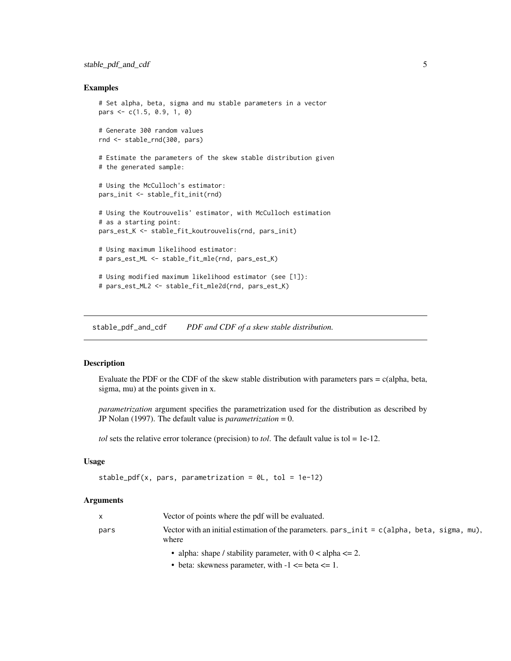#### <span id="page-4-0"></span>Examples

```
# Set alpha, beta, sigma and mu stable parameters in a vector
pars \leq c(1.5, 0.9, 1, 0)# Generate 300 random values
rnd <- stable_rnd(300, pars)
# Estimate the parameters of the skew stable distribution given
# the generated sample:
# Using the McCulloch's estimator:
pars_init <- stable_fit_init(rnd)
# Using the Koutrouvelis' estimator, with McCulloch estimation
# as a starting point:
pars_est_K <- stable_fit_koutrouvelis(rnd, pars_init)
# Using maximum likelihood estimator:
# pars_est_ML <- stable_fit_mle(rnd, pars_est_K)
# Using modified maximum likelihood estimator (see [1]):
# pars_est_ML2 <- stable_fit_mle2d(rnd, pars_est_K)
```
stable\_pdf\_and\_cdf *PDF and CDF of a skew stable distribution.*

#### Description

Evaluate the PDF or the CDF of the skew stable distribution with parameters pars  $= c$  (alpha, beta, sigma, mu) at the points given in x.

*parametrization* argument specifies the parametrization used for the distribution as described by JP Nolan (1997). The default value is *parametrization* = 0.

*tol* sets the relative error tolerance (precision) to *tol*. The default value is tol = 1e-12.

#### Usage

```
stable_pdf(x, pars, parametrization = 0L, tol = 1e-12)
```
#### Arguments

| $\mathsf{X}$ | Vector of points where the pdf will be evaluated.                                                                                                 |
|--------------|---------------------------------------------------------------------------------------------------------------------------------------------------|
| pars         | Vector with an initial estimation of the parameters. $\text{pars}_\text{init} = c(\text{alpha}, \text{beta}, \text{sigma}, \text{mu})$ ,<br>where |

- alpha: shape / stability parameter, with  $0 <$  alpha  $\leq$  2.
- beta: skewness parameter, with  $-1 \leq$  beta  $\leq$  1.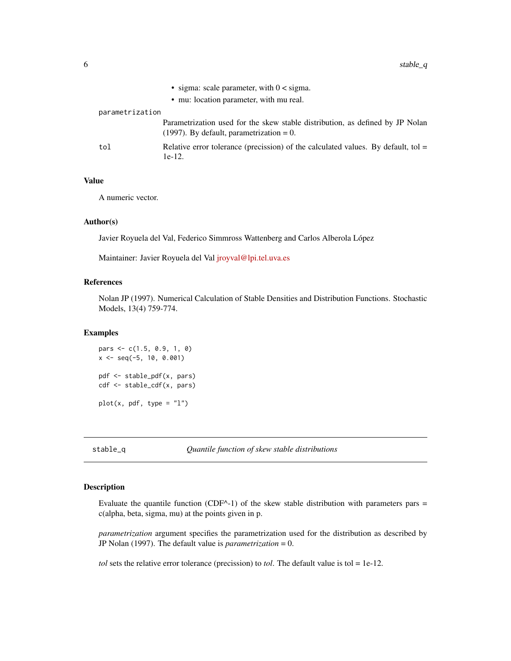<span id="page-5-0"></span>

|                 | • sigma: scale parameter, with $0 <$ sigma.                                                                                  |
|-----------------|------------------------------------------------------------------------------------------------------------------------------|
|                 | • mu: location parameter, with mu real.                                                                                      |
| parametrization |                                                                                                                              |
|                 | Parametrization used for the skew stable distribution, as defined by JP Nolan<br>$(1997)$ . By default, parametrization = 0. |
| tol             | Relative error tolerance (precission) of the calculated values. By default, tol $=$<br>$1e-12.$                              |

#### Value

A numeric vector.

#### Author(s)

Javier Royuela del Val, Federico Simmross Wattenberg and Carlos Alberola López

Maintainer: Javier Royuela del Val [jroyval@lpi.tel.uva.es](mailto:jroyval@lpi.tel.uva.es)

#### References

Nolan JP (1997). Numerical Calculation of Stable Densities and Distribution Functions. Stochastic Models, 13(4) 759-774.

#### Examples

```
pars <- c(1.5, 0.9, 1, 0)
x \le - seq(-5, 10, 0.001)
pdf <- stable_pdf(x, pars)
cdf <- stable_cdf(x, pars)
plot(x, pdf, type = "l")
```
stable\_q *Quantile function of skew stable distributions*

#### Description

Evaluate the quantile function (CDF^-1) of the skew stable distribution with parameters pars  $=$ c(alpha, beta, sigma, mu) at the points given in p.

*parametrization* argument specifies the parametrization used for the distribution as described by JP Nolan (1997). The default value is *parametrization* = 0.

*tol* sets the relative error tolerance (precission) to *tol*. The default value is tol = 1e-12.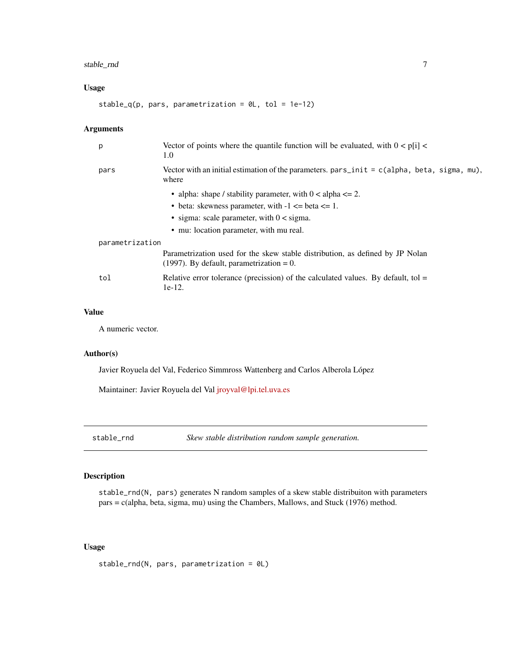#### <span id="page-6-0"></span>stable\_rnd 7

#### Usage

stable\_q(p, pars, parametrization =  $@L$ , tol = 1e-12)

#### Arguments

| p               | Vector of points where the quantile function will be evaluated, with $0 < p[i]$ <<br>1.0                                     |  |
|-----------------|------------------------------------------------------------------------------------------------------------------------------|--|
| pars            | Vector with an initial estimation of the parameters. $pars\_init = c(alpha, beta, sigma, mu),$<br>where                      |  |
|                 | • alpha: shape / stability parameter, with $0 <$ alpha $\leq 2$ .                                                            |  |
|                 | • beta: skewness parameter, with $-1 \leq b \leq 1$ .                                                                        |  |
|                 | • sigma: scale parameter, with $0 <$ sigma.                                                                                  |  |
|                 | • mu: location parameter, with mu real.                                                                                      |  |
| parametrization |                                                                                                                              |  |
|                 | Parametrization used for the skew stable distribution, as defined by JP Nolan<br>$(1997)$ . By default, parametrization = 0. |  |
| tol             | Relative error tolerance (precission) of the calculated values. By default, tol $=$<br>$1e-12.$                              |  |
|                 |                                                                                                                              |  |

#### Value

A numeric vector.

#### Author(s)

Javier Royuela del Val, Federico Simmross Wattenberg and Carlos Alberola López

Maintainer: Javier Royuela del Val [jroyval@lpi.tel.uva.es](mailto:jroyval@lpi.tel.uva.es)

stable\_rnd *Skew stable distribution random sample generation.*

#### Description

stable\_rnd(N, pars) generates N random samples of a skew stable distribuiton with parameters pars = c(alpha, beta, sigma, mu) using the Chambers, Mallows, and Stuck (1976) method.

#### Usage

```
stable_rnd(N, pars, parametrization = 0L)
```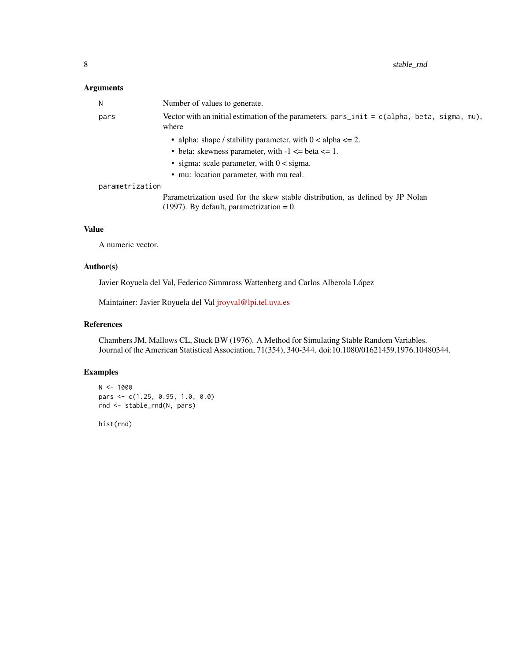#### Arguments

| N               | Number of values to generate.                                                                                                |
|-----------------|------------------------------------------------------------------------------------------------------------------------------|
| pars            | Vector with an initial estimation of the parameters. pars_init = $c$ (alpha, beta, sigma, mu),<br>where                      |
|                 | • alpha: shape / stability parameter, with $0 <$ alpha $\leq$ 2.                                                             |
|                 | • beta: skewness parameter, with $-1 \leq$ beta $\leq$ 1.                                                                    |
|                 | • sigma: scale parameter, with $0 <$ sigma.                                                                                  |
|                 | • mu: location parameter, with mu real.                                                                                      |
| parametrization |                                                                                                                              |
|                 | Parametrization used for the skew stable distribution, as defined by JP Nolan<br>$(1997)$ . By default, parametrization = 0. |

#### Value

A numeric vector.

#### Author(s)

Javier Royuela del Val, Federico Simmross Wattenberg and Carlos Alberola López

Maintainer: Javier Royuela del Val [jroyval@lpi.tel.uva.es](mailto:jroyval@lpi.tel.uva.es)

#### References

Chambers JM, Mallows CL, Stuck BW (1976). A Method for Simulating Stable Random Variables. Journal of the American Statistical Association, 71(354), 340-344. doi:10.1080/01621459.1976.10480344.

#### Examples

```
N < - 1000pars <- c(1.25, 0.95, 1.0, 0.0)
rnd <- stable_rnd(N, pars)
```
hist(rnd)